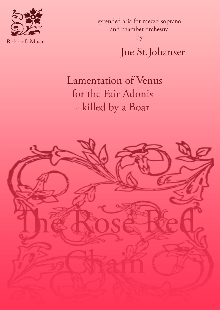

extended aria for mezzo-soprano and chamber orchestra by

## Joe St.Johanser

Lamentation of Venus for the Fair Adonis - killed by a Boar

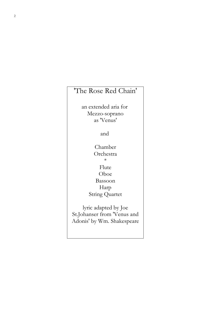## 'The Rose Red Chain'

an extended aria for Mezzo-soprano as 'Venus'

and

Chamber Orchestra  $\star$ 

Flute

Oboe

Bassoon

Harp String Quartet

lyric adapted by Joe St.Johanser from 'Venus and Adonis' by Wm. Shakespeare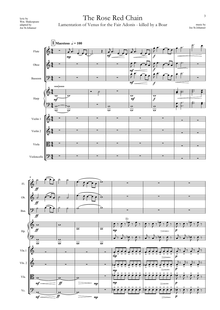lyric by Wm. Shakespeare adapted by Joe St.Johanser

## The Rose Red Chain

Lamentation of Venus for the Fair Adonis - killed by a Boar music by

Joe St.Johanser

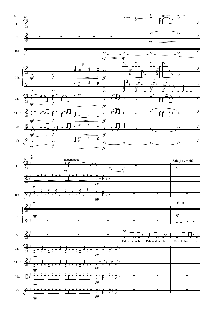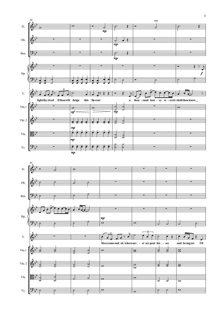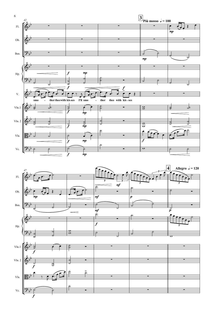

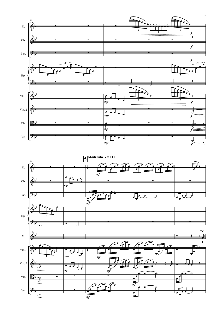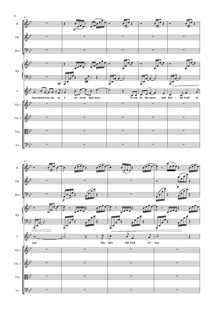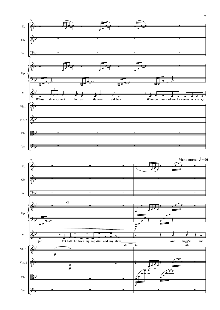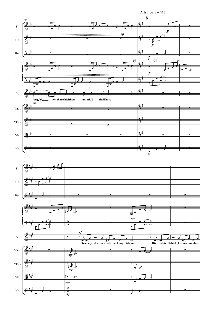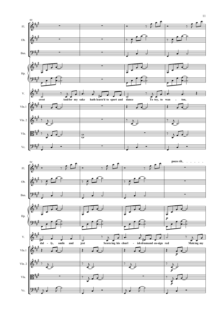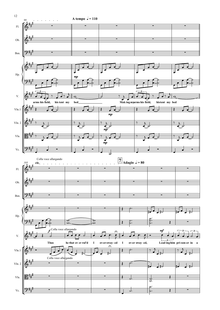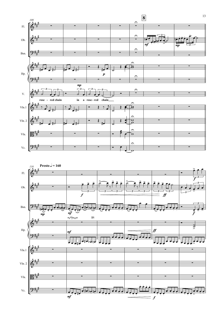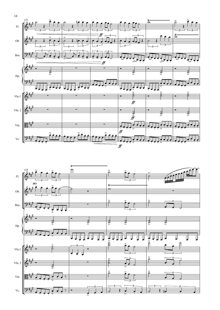

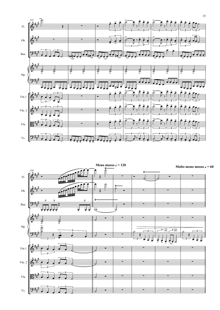

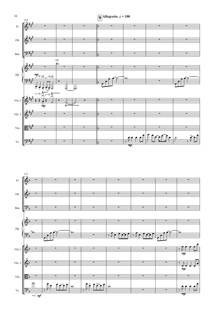

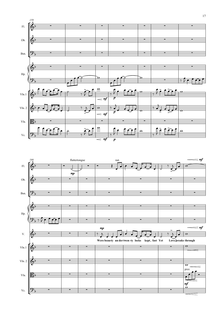

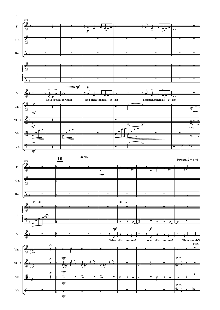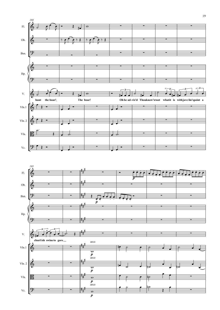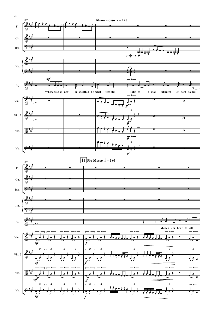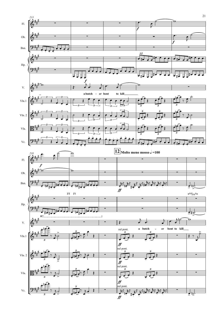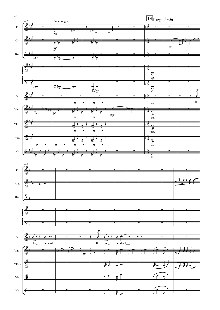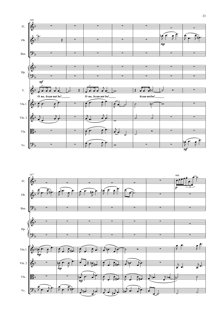

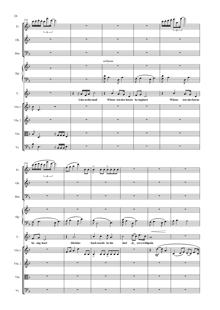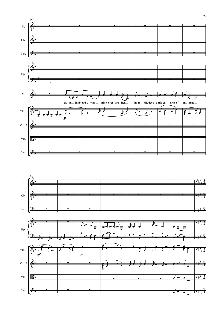

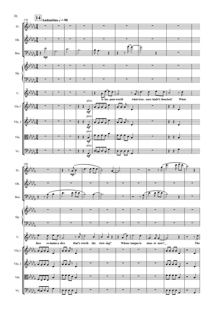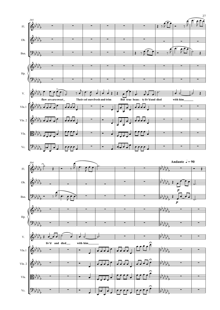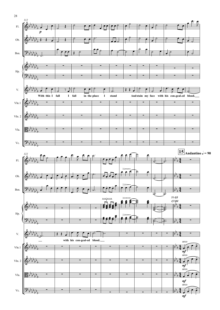![](_page_27_Figure_0.jpeg)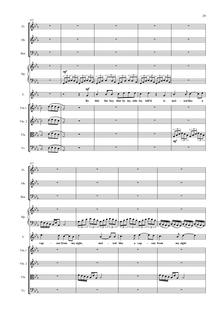![](_page_28_Figure_0.jpeg)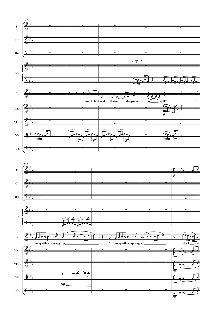![](_page_29_Figure_0.jpeg)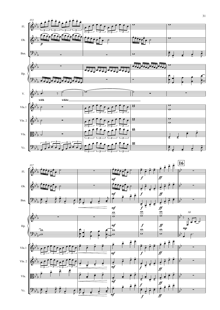![](_page_30_Figure_0.jpeg)

![](_page_30_Figure_1.jpeg)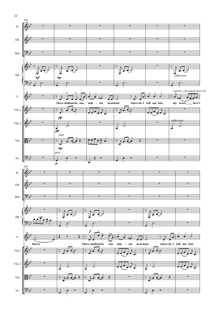![](_page_31_Figure_0.jpeg)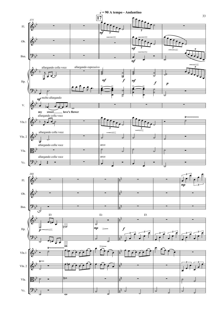![](_page_32_Figure_0.jpeg)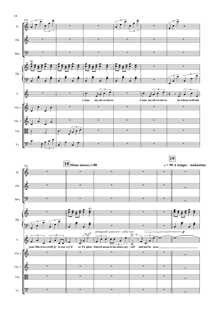![](_page_33_Figure_0.jpeg)